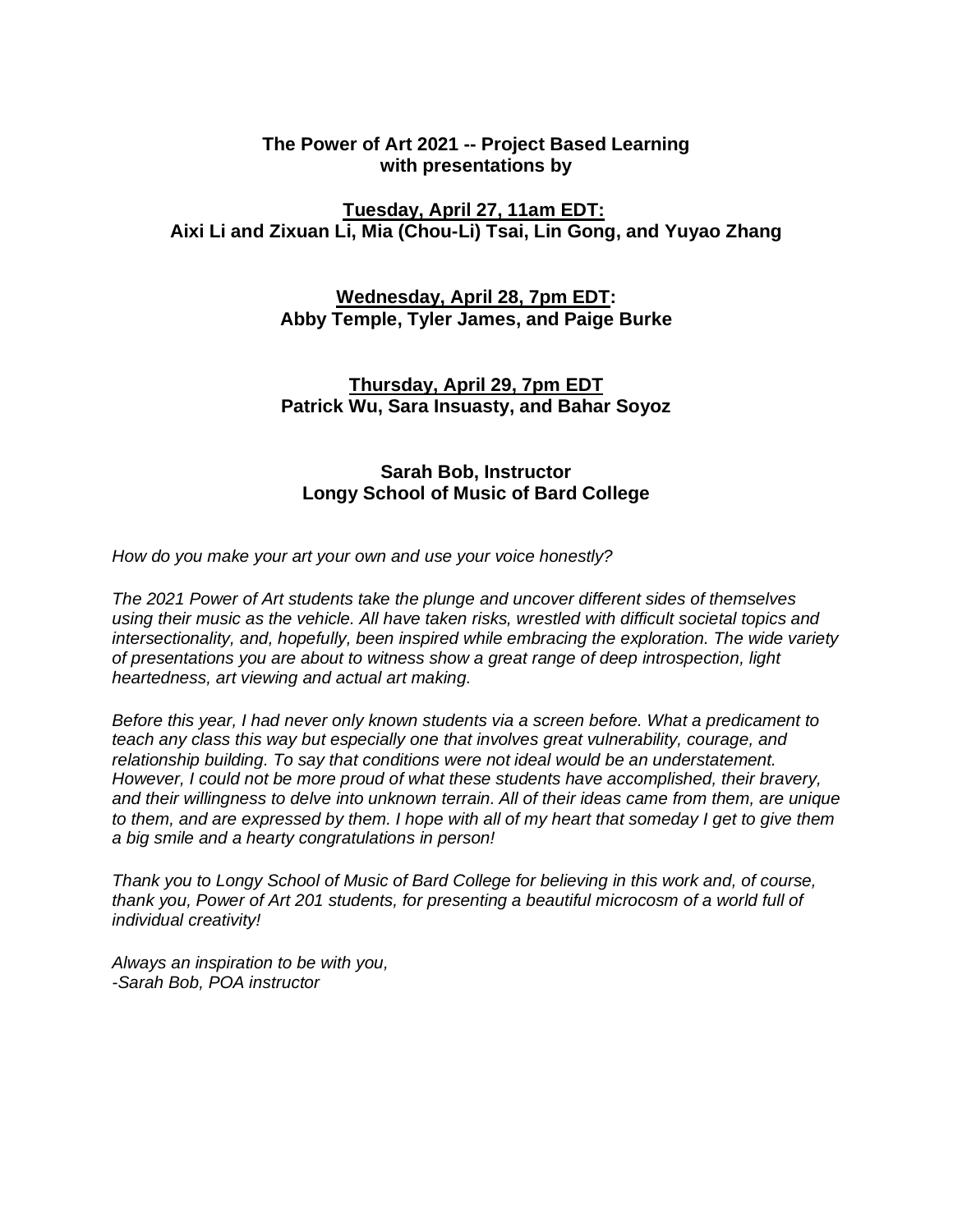## **The Power of Art 2021 -- Project Based Learning with presentations by**

## **Tuesday, April 27, 11am EDT: Aixi Li and Zixuan Li, Mia (Chou-Li) Tsai, Lin Gong, and Yuyao Zhang**

## **Wednesday, April 28, 7pm EDT: Abby Temple, Tyler James, and Paige Burke**

## **Thursday, April 29, 7pm EDT Patrick Wu, Sara Insuasty, and Bahar Soyoz**

## **Sarah Bob, Instructor Longy School of Music of Bard College**

*How do you make your art your own and use your voice honestly?* 

*The 2021 Power of Art students take the plunge and uncover different sides of themselves using their music as the vehicle. All have taken risks, wrestled with difficult societal topics and intersectionality, and, hopefully, been inspired while embracing the exploration. The wide variety of presentations you are about to witness show a great range of deep introspection, light heartedness, art viewing and actual art making.*

*Before this year, I had never only known students via a screen before. What a predicament to teach any class this way but especially one that involves great vulnerability, courage, and relationship building. To say that conditions were not ideal would be an understatement. However, I could not be more proud of what these students have accomplished, their bravery, and their willingness to delve into unknown terrain. All of their ideas came from them, are unique* to them, and are expressed by them. I hope with all of my heart that someday I get to give them *a big smile and a hearty congratulations in person!*

*Thank you to Longy School of Music of Bard College for believing in this work and, of course, thank you, Power of Art 201 students, for presenting a beautiful microcosm of a world full of individual creativity!*

*Always an inspiration to be with you, -Sarah Bob, POA instructor*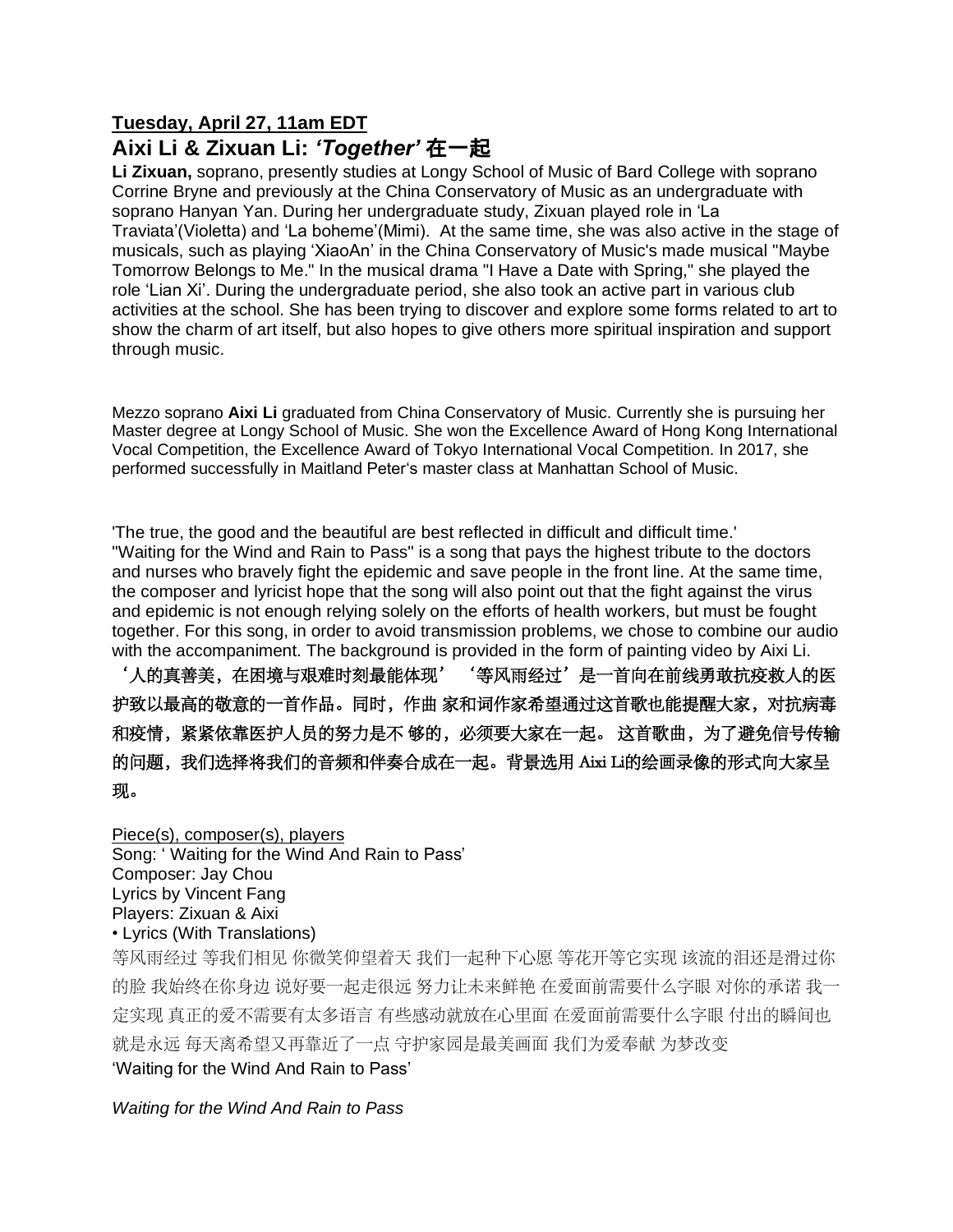## **Tuesday, April 27, 11am EDT Aixi Li & Zixuan Li:** *'Together'* 在一起

**Li Zixuan,** soprano, presently studies at Longy School of Music of Bard College with soprano Corrine Bryne and previously at the China Conservatory of Music as an undergraduate with soprano Hanyan Yan. During her undergraduate study, Zixuan played role in 'La Traviata'(Violetta) and 'La boheme'(Mimi). At the same time, she was also active in the stage of musicals, such as playing 'XiaoAn' in the China Conservatory of Music's made musical "Maybe Tomorrow Belongs to Me." In the musical drama "I Have a Date with Spring," she played the role 'Lian Xi'. During the undergraduate period, she also took an active part in various club activities at the school. She has been trying to discover and explore some forms related to art to show the charm of art itself, but also hopes to give others more spiritual inspiration and support through music.

Mezzo soprano **Aixi Li** graduated from China Conservatory of Music. Currently she is pursuing her Master degree at Longy School of Music. She won the Excellence Award of Hong Kong International Vocal Competition, the Excellence Award of Tokyo International Vocal Competition. In 2017, she performed successfully in Maitland Peter's master class at Manhattan School of Music.

'The true, the good and the beautiful are best reflected in difficult and difficult time.' "Waiting for the Wind and Rain to Pass" is a song that pays the highest tribute to the doctors and nurses who bravely fight the epidemic and save people in the front line. At the same time, the composer and lyricist hope that the song will also point out that the fight against the virus and epidemic is not enough relying solely on the efforts of health workers, but must be fought together. For this song, in order to avoid transmission problems, we chose to combine our audio with the accompaniment. The background is provided in the form of painting video by Aixi Li. '人的真善美,在困境与艰难时刻最能体现' '等风雨经过'是一首向在前线勇敢抗疫救人的医 护致以最高的敬意的一首作品。同时,作曲 家和词作家希望通过这首歌也能提醒大家,对抗病毒 和疫情,紧紧依靠医护人员的努力是不 够的, 必须要大家在一起。 这首歌曲, 为了避免信号传输 的问题,我们选择将我们的音频和伴奏合成在一起。背景选用 Aixi Li的绘画录像的形式向大家呈

现。

Piece(s), composer(s), players Song: ' Waiting for the Wind And Rain to Pass' Composer: Jay Chou Lyrics by Vincent Fang Players: Zixuan & Aixi • Lyrics (With Translations)

等风雨经过 等我们相见 你微笑仰望着天 我们一起种下心愿 等花开等它实现 该流的泪还是滑过你 的脸 我始终在你身边 说好要一起走很远 努力让未来鲜艳 在爱面前需要什么字眼 对你的承诺 我一 定实现 真正的爱不需要有太多语言 有些感动就放在心里面 在爱面前需要什么字眼 付出的瞬间也 就是永远 每天离希望又再靠近了一点 守护家园是最美画面 我们为爱奉献 为梦改变

'Waiting for the Wind And Rain to Pass'

*Waiting for the Wind And Rain to Pass*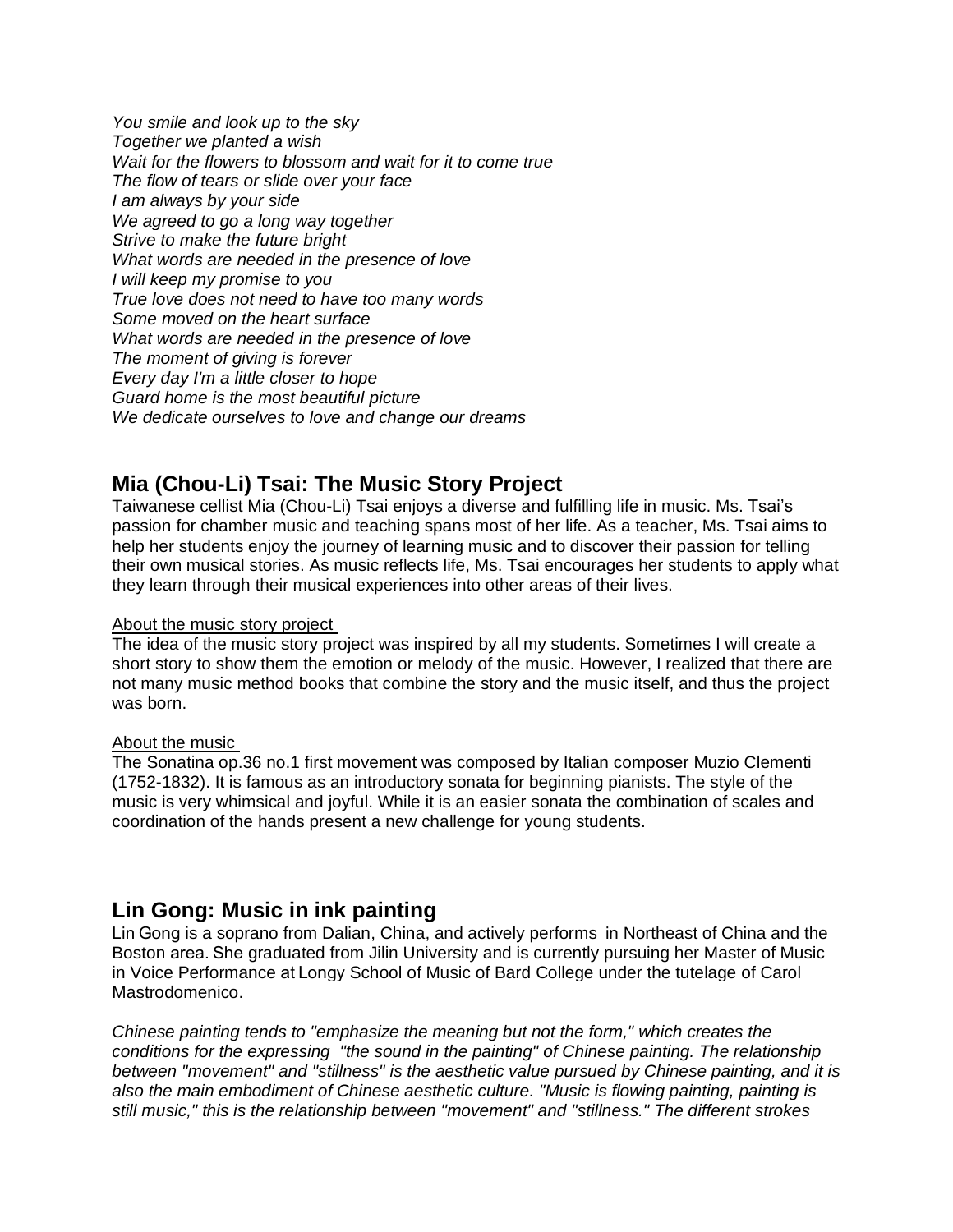*You smile and look up to the sky Together we planted a wish Wait for the flowers to blossom and wait for it to come true The flow of tears or slide over your face I am always by your side We agreed to go a long way together Strive to make the future bright What words are needed in the presence of love I will keep my promise to you True love does not need to have too many words Some moved on the heart surface What words are needed in the presence of love The moment of giving is forever Every day I'm a little closer to hope Guard home is the most beautiful picture We dedicate ourselves to love and change our dreams*

# **Mia (Chou-Li) Tsai: The Music Story Project**

Taiwanese cellist Mia (Chou-Li) Tsai enjoys a diverse and fulfilling life in music. Ms. Tsai's passion for chamber music and teaching spans most of her life. As a teacher, Ms. Tsai aims to help her students enjoy the journey of learning music and to discover their passion for telling their own musical stories. As music reflects life, Ms. Tsai encourages her students to apply what they learn through their musical experiences into other areas of their lives.

#### About the music story project

The idea of the music story project was inspired by all my students. Sometimes I will create a short story to show them the emotion or melody of the music. However, I realized that there are not many music method books that combine the story and the music itself, and thus the project was born.

### About the music

The Sonatina op.36 no.1 first movement was composed by Italian composer Muzio Clementi (1752-1832). It is famous as an introductory sonata for beginning pianists. The style of the music is very whimsical and joyful. While it is an easier sonata the combination of scales and coordination of the hands present a new challenge for young students.

# **Lin Gong: Music in ink painting**

Lin Gong is a soprano from Dalian, China, and actively performs  in Northeast of China and the Boston area. She graduated from Jilin University and is currently pursuing her Master of Music in Voice Performance at Longy School of Music of Bard College under the tutelage of Carol Mastrodomenico.

*Chinese painting tends to "emphasize the meaning but not the form," which creates the conditions for the expressing "the sound in the painting" of Chinese painting. The relationship between "movement" and "stillness" is the aesthetic value pursued by Chinese painting, and it is also the main embodiment of Chinese aesthetic culture. "Music is flowing painting, painting is still music," this is the relationship between "movement" and "stillness." The different strokes*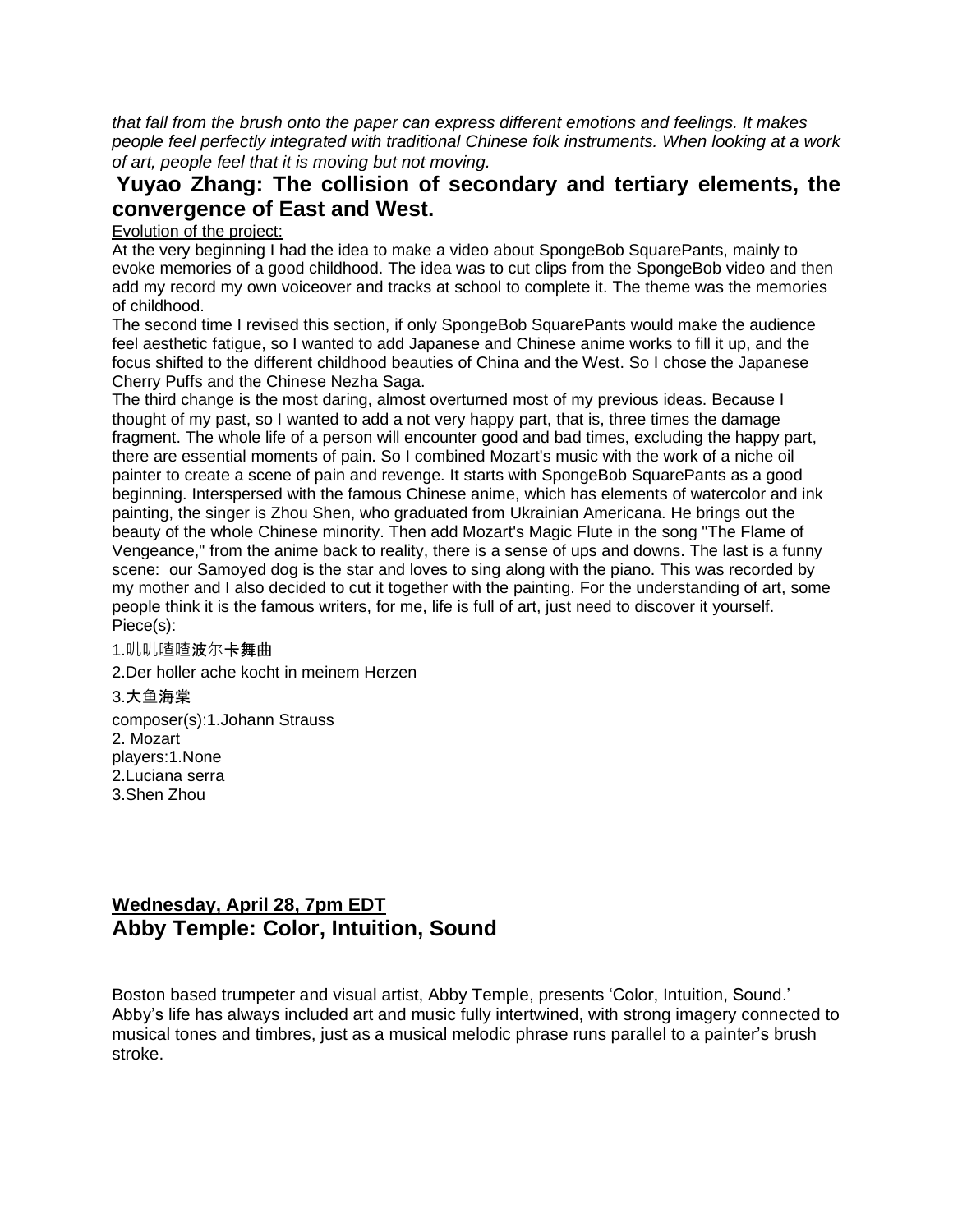*that fall from the brush onto the paper can express different emotions and feelings. It makes people feel perfectly integrated with traditional Chinese folk instruments. When looking at a work of art, people feel that it is moving but not moving.*

## **Yuyao Zhang: The collision of secondary and tertiary elements, the convergence of East and West.**

#### Evolution of the project:

At the very beginning I had the idea to make a video about SpongeBob SquarePants, mainly to evoke memories of a good childhood. The idea was to cut clips from the SpongeBob video and then add my record my own voiceover and tracks at school to complete it. The theme was the memories of childhood.

The second time I revised this section, if only SpongeBob SquarePants would make the audience feel aesthetic fatigue, so I wanted to add Japanese and Chinese anime works to fill it up, and the focus shifted to the different childhood beauties of China and the West. So I chose the Japanese Cherry Puffs and the Chinese Nezha Saga.

The third change is the most daring, almost overturned most of my previous ideas. Because I thought of my past, so I wanted to add a not very happy part, that is, three times the damage fragment. The whole life of a person will encounter good and bad times, excluding the happy part, there are essential moments of pain. So I combined Mozart's music with the work of a niche oil painter to create a scene of pain and revenge. It starts with SpongeBob SquarePants as a good beginning. Interspersed with the famous Chinese anime, which has elements of watercolor and ink painting, the singer is Zhou Shen, who graduated from Ukrainian Americana. He brings out the beauty of the whole Chinese minority. Then add Mozart's Magic Flute in the song "The Flame of Vengeance," from the anime back to reality, there is a sense of ups and downs. The last is a funny scene: our Samoyed dog is the star and loves to sing along with the piano. This was recorded by my mother and I also decided to cut it together with the painting. For the understanding of art, some people think it is the famous writers, for me, life is full of art, just need to discover it yourself. Piece(s):

#### 1.叽叽喳喳波尔卡舞曲

2.Der holler ache kocht in meinem Herzen

3.大鱼海棠

composer(s):1.Johann Strauss 2. Mozart players:1.None 2.Luciana serra 3.Shen Zhou

# **Wednesday, April 28, 7pm EDT Abby Temple: Color, Intuition, Sound**

Boston based trumpeter and visual artist, Abby Temple, presents 'Color, Intuition, Sound.' Abby's life has always included art and music fully intertwined, with strong imagery connected to musical tones and timbres, just as a musical melodic phrase runs parallel to a painter's brush stroke.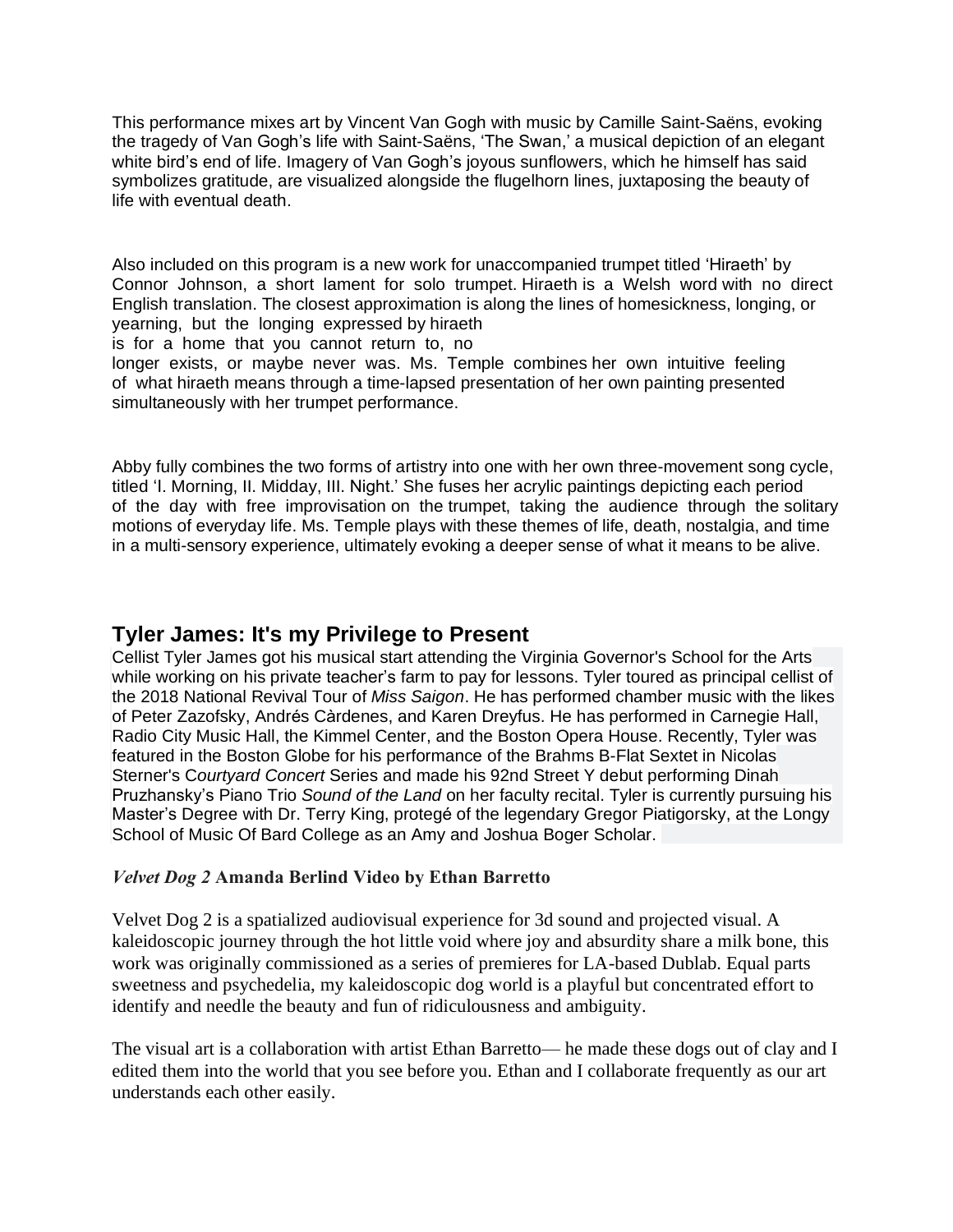This performance mixes art by Vincent Van Gogh with music by Camille Saint-Saëns, evoking the tragedy of Van Gogh's life with Saint-Saëns, 'The Swan,' a musical depiction of an elegant white bird's end of life. Imagery of Van Gogh's joyous sunflowers, which he himself has said symbolizes gratitude, are visualized alongside the flugelhorn lines, juxtaposing the beauty of life with eventual death.

Also included on this program is a new work for unaccompanied trumpet titled 'Hiraeth' by Connor Johnson, a short lament for solo trumpet. Hiraeth is a Welsh word with no direct English translation. The closest approximation is along the lines of homesickness, longing, or yearning, but the longing expressed by hiraeth

is for a home that you cannot return to, no

longer exists, or maybe never was. Ms. Temple combines her own intuitive feeling of what hiraeth means through a time-lapsed presentation of her own painting presented simultaneously with her trumpet performance.

Abby fully combines the two forms of artistry into one with her own three-movement song cycle, titled 'I. Morning, II. Midday, III. Night.' She fuses her acrylic paintings depicting each period of the day with free improvisation on the trumpet, taking the audience through the solitary motions of everyday life. Ms. Temple plays with these themes of life, death, nostalgia, and time in a multi-sensory experience, ultimately evoking a deeper sense of what it means to be alive.

## **Tyler James: It's my Privilege to Present**

Cellist Tyler James got his musical start attending the Virginia Governor's School for the Arts while working on his private teacher's farm to pay for lessons. Tyler toured as principal cellist of the 2018 National Revival Tour of *Miss Saigon*. He has performed chamber music with the likes of Peter Zazofsky, Andrés Càrdenes, and Karen Dreyfus. He has performed in Carnegie Hall, Radio City Music Hall, the Kimmel Center, and the Boston Opera House. Recently, Tyler was featured in the Boston Globe for his performance of the Brahms B-Flat Sextet in Nicolas Sterner's C*ourtyard Concert* Series and made his 92nd Street Y debut performing Dinah Pruzhansky's Piano Trio *Sound of the Land* on her faculty recital. Tyler is currently pursuing his Master's Degree with Dr. Terry King, protegé of the legendary Gregor Piatigorsky, at the Longy School of Music Of Bard College as an Amy and Joshua Boger Scholar.

### *Velvet Dog 2* **Amanda Berlind Video by Ethan Barretto**

Velvet Dog 2 is a spatialized audiovisual experience for 3d sound and projected visual. A kaleidoscopic journey through the hot little void where joy and absurdity share a milk bone, this work was originally commissioned as a series of premieres for LA-based Dublab. Equal parts sweetness and psychedelia, my kaleidoscopic dog world is a playful but concentrated effort to identify and needle the beauty and fun of ridiculousness and ambiguity.

The visual art is a collaboration with artist Ethan Barretto— he made these dogs out of clay and I edited them into the world that you see before you. Ethan and I collaborate frequently as our art understands each other easily.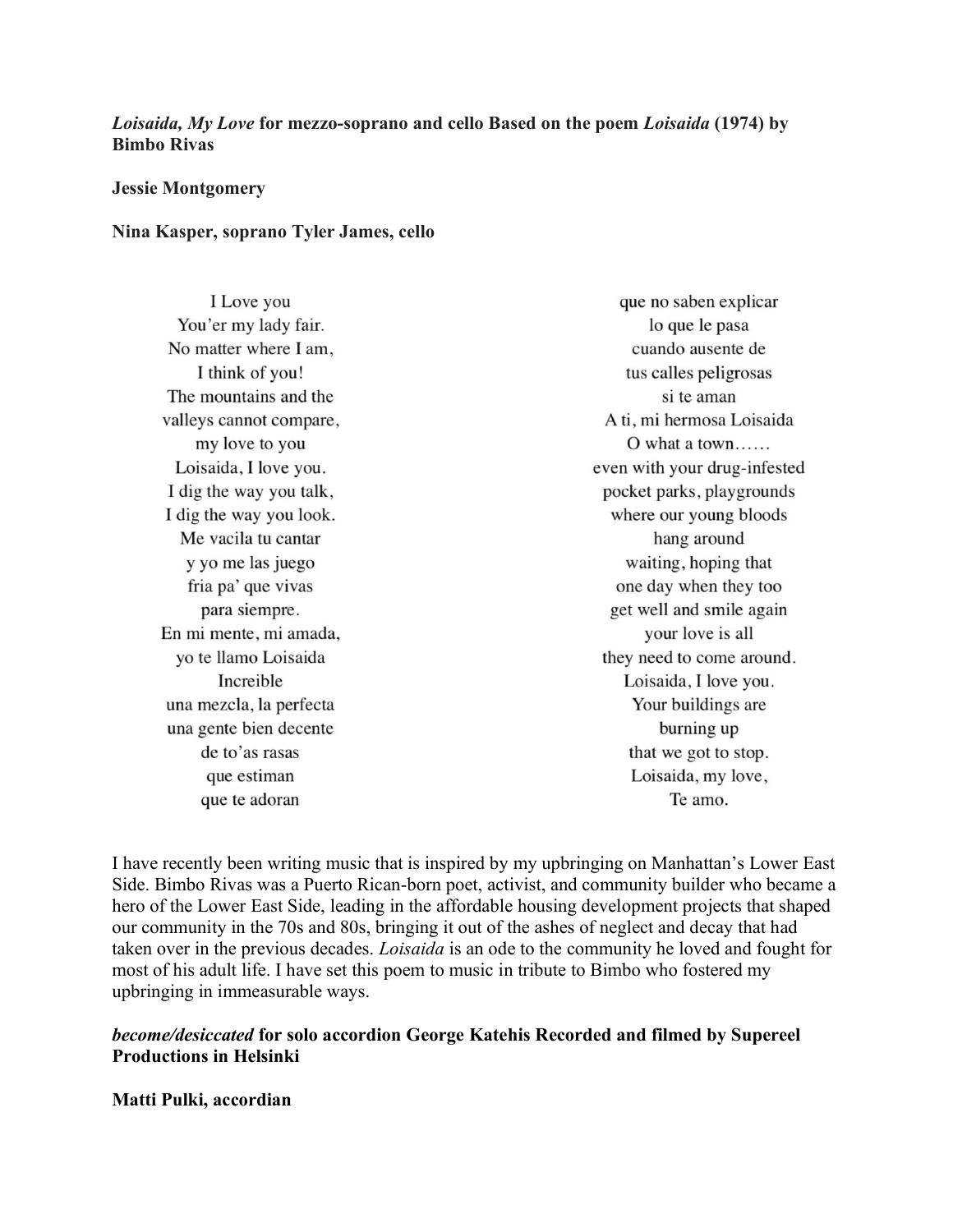### *Loisaida, My Love* **for mezzo-soprano and cello Based on the poem** *Loisaida* **(1974) by Bimbo Rivas**

#### **Jessie Montgomery**

#### **Nina Kasper, soprano Tyler James, cello**

I Love you You'er my lady fair. No matter where I am. I think of you! The mountains and the valleys cannot compare, my love to you Loisaida, I love you. I dig the way you talk, I dig the way you look. Me vacila tu cantar y yo me las juego fria pa' que vivas para siempre. En mi mente, mi amada, yo te llamo Loisaida Increible una mezcla, la perfecta una gente bien decente de to'as rasas que estiman que te adoran

que no saben explicar lo que le pasa cuando ausente de tus calles peligrosas si te aman A ti, mi hermosa Loisaida O what a town...... even with your drug-infested pocket parks, playgrounds where our young bloods hang around waiting, hoping that one day when they too get well and smile again your love is all they need to come around. Loisaida, I love you. Your buildings are burning up that we got to stop. Loisaida, my love, Te amo.

I have recently been writing music that is inspired by my upbringing on Manhattan's Lower East Side. Bimbo Rivas was a Puerto Rican-born poet, activist, and community builder who became a hero of the Lower East Side, leading in the affordable housing development projects that shaped our community in the 70s and 80s, bringing it out of the ashes of neglect and decay that had taken over in the previous decades. *Loisaida* is an ode to the community he loved and fought for most of his adult life. I have set this poem to music in tribute to Bimbo who fostered my upbringing in immeasurable ways.

## *become/desiccated* **for solo accordion George Katehis Recorded and filmed by Supereel Productions in Helsinki**

#### **Matti Pulki, accordian**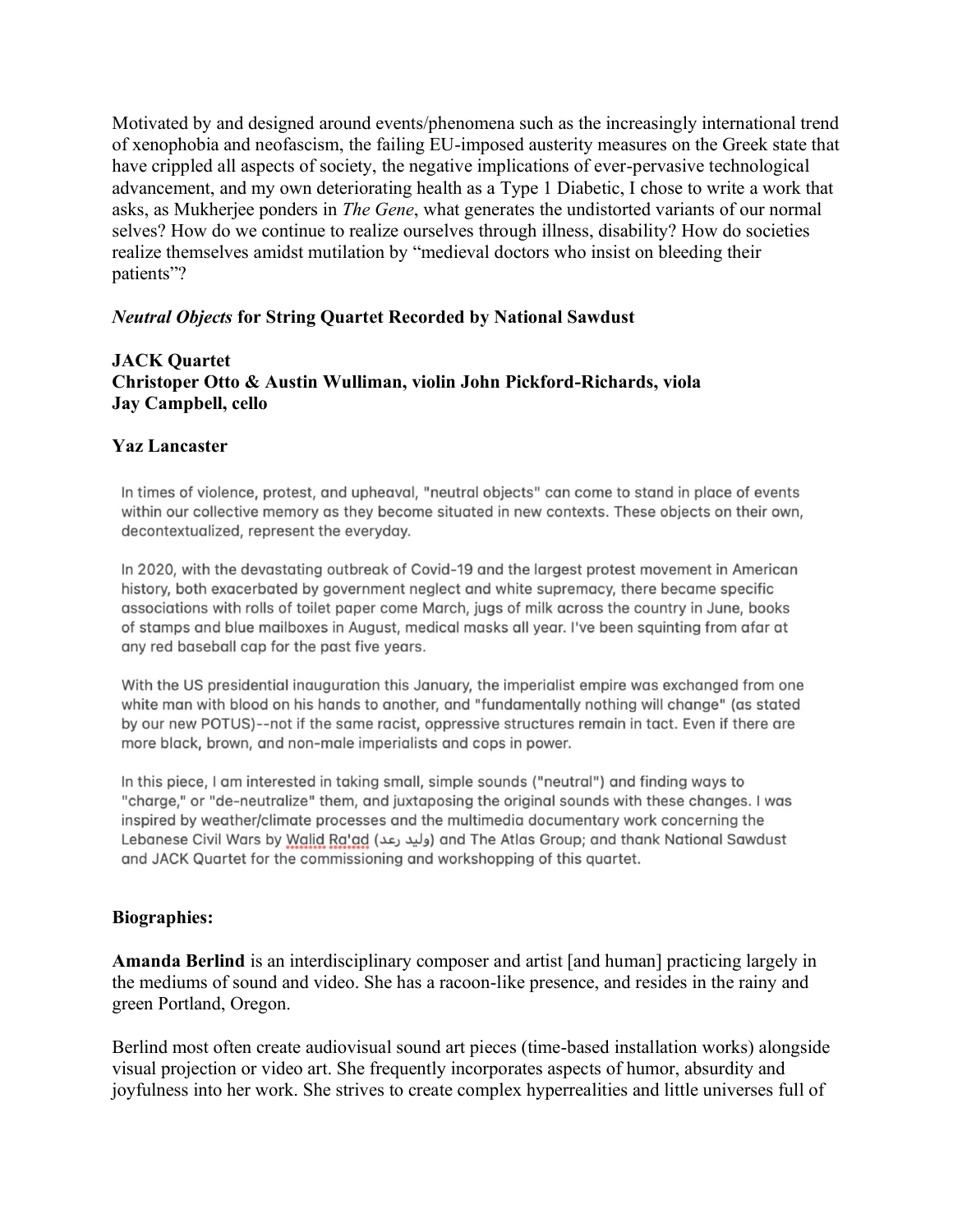Motivated by and designed around events/phenomena such as the increasingly international trend of xenophobia and neofascism, the failing EU-imposed austerity measures on the Greek state that have crippled all aspects of society, the negative implications of ever-pervasive technological advancement, and my own deteriorating health as a Type 1 Diabetic, I chose to write a work that asks, as Mukherjee ponders in *The Gene*, what generates the undistorted variants of our normal selves? How do we continue to realize ourselves through illness, disability? How do societies realize themselves amidst mutilation by "medieval doctors who insist on bleeding their patients"?

## *Neutral Objects* **for String Quartet Recorded by National Sawdust**

## **JACK Quartet Christoper Otto & Austin Wulliman, violin John Pickford-Richards, viola Jay Campbell, cello**

## **Yaz Lancaster**

In times of violence, protest, and upheaval, "neutral objects" can come to stand in place of events within our collective memory as they become situated in new contexts. These objects on their own, decontextualized, represent the everyday.

In 2020, with the devastating outbreak of Covid-19 and the largest protest movement in American history, both exacerbated by government neglect and white supremacy, there became specific associations with rolls of toilet paper come March, jugs of milk across the country in June, books of stamps and blue mailboxes in August, medical masks all year. I've been squinting from afar at any red baseball cap for the past five years.

With the US presidential inauguration this January, the imperialist empire was exchanged from one white man with blood on his hands to another, and "fundamentally nothing will change" (as stated by our new POTUS)--not if the same racist, oppressive structures remain in tact. Even if there are more black, brown, and non-male imperialists and cops in power.

In this piece. I am interested in taking small, simple sounds ("neutral") and finding ways to "charge," or "de-neutralize" them, and juxtaposing the original sounds with these changes. I was inspired by weather/climate processes and the multimedia documentary work concerning the Lebanese Civil Wars by Walid Ra'ad (وليد رعد) and The Atlas Group; and thank National Sawdust and JACK Quartet for the commissioning and workshopping of this quartet.

### **Biographies:**

**Amanda Berlind** is an interdisciplinary composer and artist [and human] practicing largely in the mediums of sound and video. She has a racoon-like presence, and resides in the rainy and green Portland, Oregon.

Berlind most often create audiovisual sound art pieces (time-based installation works) alongside visual projection or video art. She frequently incorporates aspects of humor, absurdity and joyfulness into her work. She strives to create complex hyperrealities and little universes full of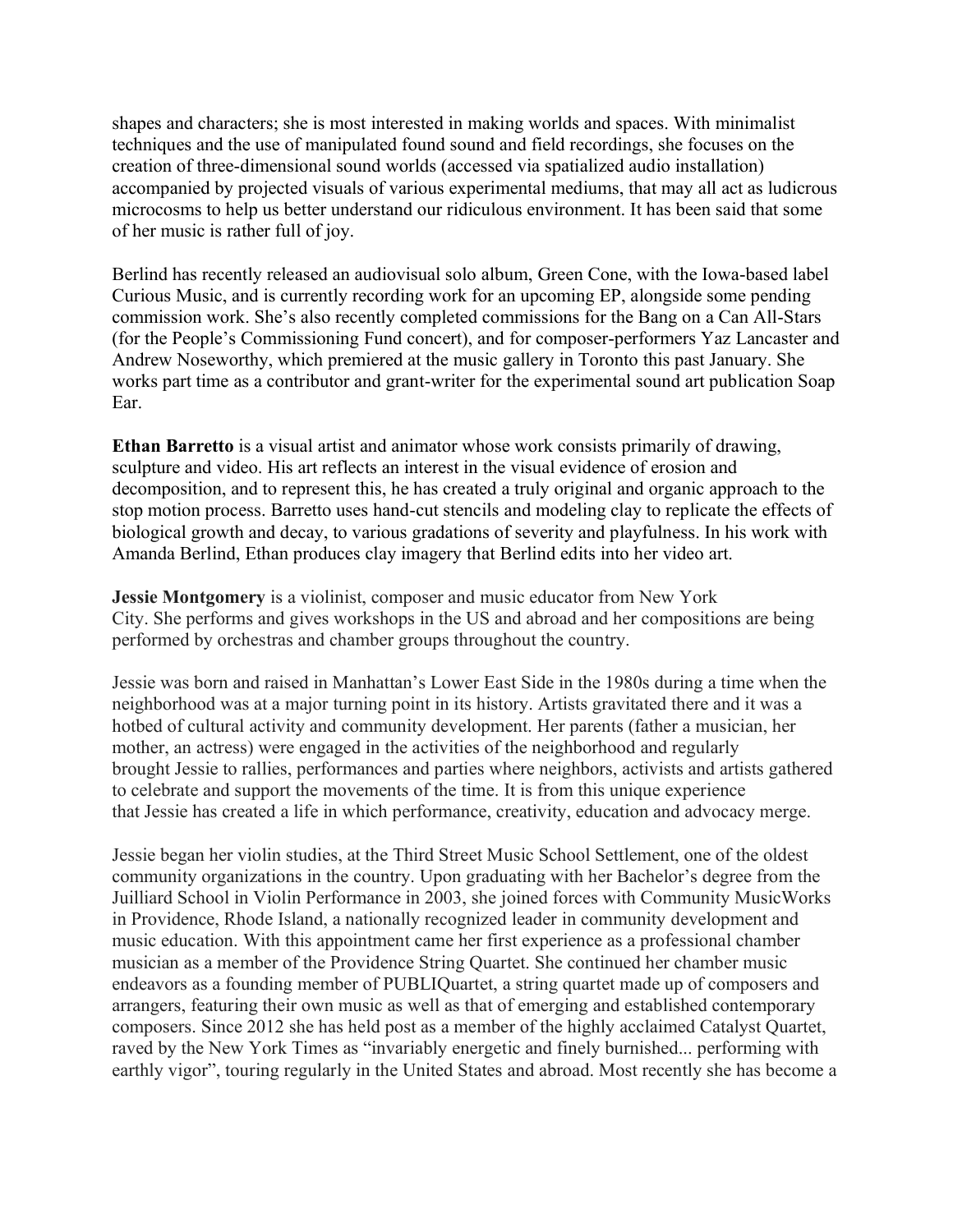shapes and characters; she is most interested in making worlds and spaces. With minimalist techniques and the use of manipulated found sound and field recordings, she focuses on the creation of three-dimensional sound worlds (accessed via spatialized audio installation) accompanied by projected visuals of various experimental mediums, that may all act as ludicrous microcosms to help us better understand our ridiculous environment. It has been said that some of her music is rather full of joy.

Berlind has recently released an audiovisual solo album, Green Cone, with the Iowa-based label Curious Music, and is currently recording work for an upcoming EP, alongside some pending commission work. She's also recently completed commissions for the Bang on a Can All-Stars (for the People's Commissioning Fund concert), and for composer-performers Yaz Lancaster and Andrew Noseworthy, which premiered at the music gallery in Toronto this past January. She works part time as a contributor and grant-writer for the experimental sound art publication Soap Ear.

**Ethan Barretto** is a visual artist and animator whose work consists primarily of drawing, sculpture and video. His art reflects an interest in the visual evidence of erosion and decomposition, and to represent this, he has created a truly original and organic approach to the stop motion process. Barretto uses hand-cut stencils and modeling clay to replicate the effects of biological growth and decay, to various gradations of severity and playfulness. In his work with Amanda Berlind, Ethan produces clay imagery that Berlind edits into her video art.

**Jessie Montgomery** is a violinist, composer and music educator from New York City. She performs and gives workshops in the US and abroad and her compositions are being performed by orchestras and chamber groups throughout the country.

Jessie was born and raised in Manhattan's Lower East Side in the 1980s during a time when the neighborhood was at a major turning point in its history. Artists gravitated there and it was a hotbed of cultural activity and community development. Her parents (father a musician, her mother, an actress) were engaged in the activities of the neighborhood and regularly brought Jessie to rallies, performances and parties where neighbors, activists and artists gathered to celebrate and support the movements of the time. It is from this unique experience that Jessie has created a life in which performance, creativity, education and advocacy merge.

Jessie began her violin studies, at the Third Street Music School Settlement, one of the oldest community organizations in the country. Upon graduating with her Bachelor's degree from the Juilliard School in Violin Performance in 2003, she joined forces with Community MusicWorks in Providence, Rhode Island, a nationally recognized leader in community development and music education. With this appointment came her first experience as a professional chamber musician as a member of the Providence String Quartet. She continued her chamber music endeavors as a founding member of PUBLIQuartet, a string quartet made up of composers and arrangers, featuring their own music as well as that of emerging and established contemporary composers. Since 2012 she has held post as a member of the highly acclaimed Catalyst Quartet, raved by the New York Times as "invariably energetic and finely burnished... performing with earthly vigor", touring regularly in the United States and abroad. Most recently she has become a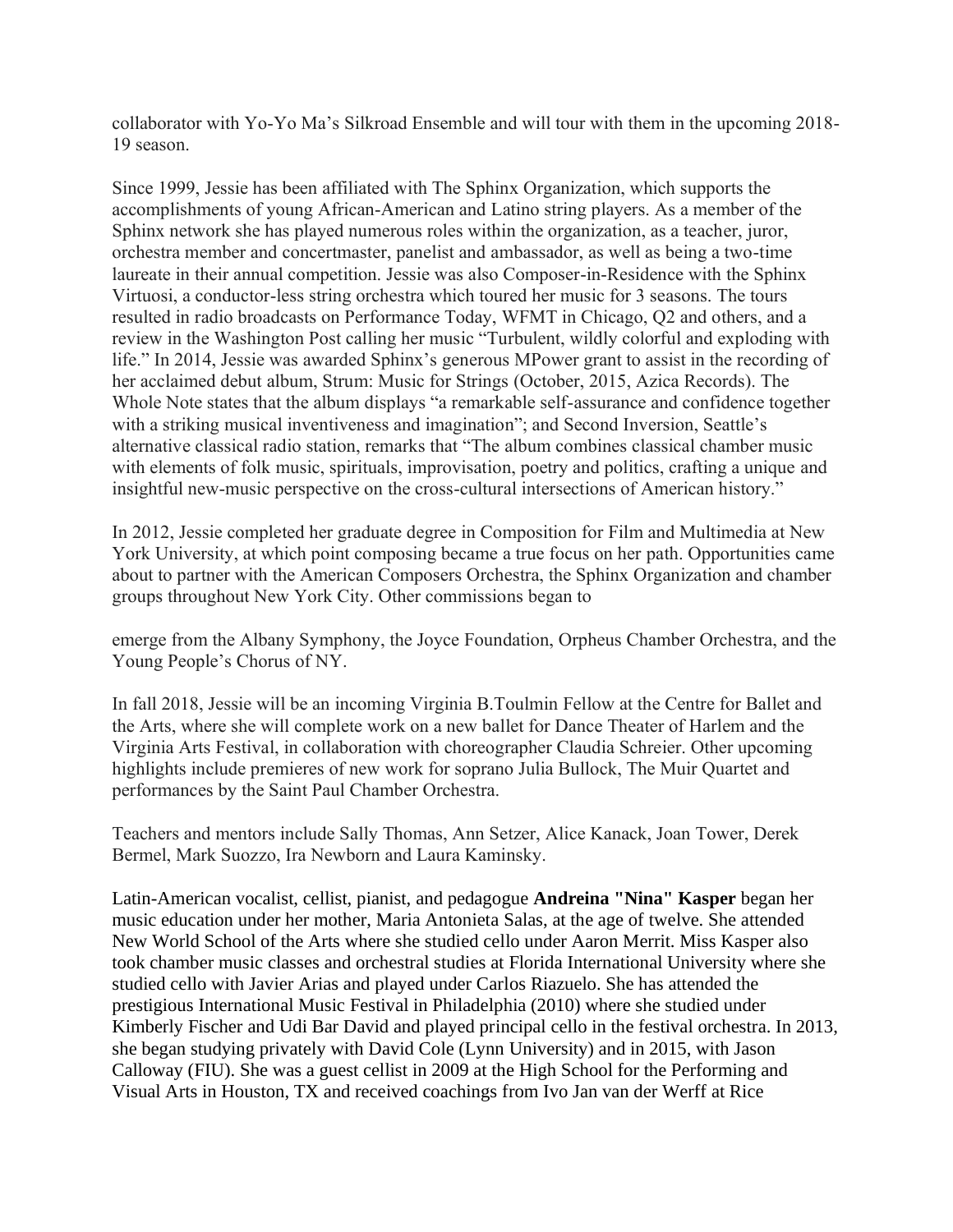collaborator with Yo-Yo Ma's Silkroad Ensemble and will tour with them in the upcoming 2018- 19 season.

Since 1999, Jessie has been affiliated with The Sphinx Organization, which supports the accomplishments of young African-American and Latino string players. As a member of the Sphinx network she has played numerous roles within the organization, as a teacher, juror, orchestra member and concertmaster, panelist and ambassador, as well as being a two-time laureate in their annual competition. Jessie was also Composer-in-Residence with the Sphinx Virtuosi, a conductor-less string orchestra which toured her music for 3 seasons. The tours resulted in radio broadcasts on Performance Today, WFMT in Chicago, Q2 and others, and a review in the Washington Post calling her music "Turbulent, wildly colorful and exploding with life." In 2014, Jessie was awarded Sphinx's generous MPower grant to assist in the recording of her acclaimed debut album, Strum: Music for Strings (October, 2015, Azica Records). The Whole Note states that the album displays "a remarkable self-assurance and confidence together with a striking musical inventiveness and imagination"; and Second Inversion, Seattle's alternative classical radio station, remarks that "The album combines classical chamber music with elements of folk music, spirituals, improvisation, poetry and politics, crafting a unique and insightful new-music perspective on the cross-cultural intersections of American history."

In 2012, Jessie completed her graduate degree in Composition for Film and Multimedia at New York University, at which point composing became a true focus on her path. Opportunities came about to partner with the American Composers Orchestra, the Sphinx Organization and chamber groups throughout New York City. Other commissions began to

emerge from the Albany Symphony, the Joyce Foundation, Orpheus Chamber Orchestra, and the Young People's Chorus of NY.

In fall 2018, Jessie will be an incoming Virginia B.Toulmin Fellow at the Centre for Ballet and the Arts, where she will complete work on a new ballet for Dance Theater of Harlem and the Virginia Arts Festival, in collaboration with choreographer Claudia Schreier. Other upcoming highlights include premieres of new work for soprano Julia Bullock, The Muir Quartet and performances by the Saint Paul Chamber Orchestra.

Teachers and mentors include Sally Thomas, Ann Setzer, Alice Kanack, Joan Tower, Derek Bermel, Mark Suozzo, Ira Newborn and Laura Kaminsky.

Latin-American vocalist, cellist, pianist, and pedagogue **Andreina "Nina" Kasper** began her music education under her mother, Maria Antonieta Salas, at the age of twelve. She attended New World School of the Arts where she studied cello under Aaron Merrit. Miss Kasper also took chamber music classes and orchestral studies at Florida International University where she studied cello with Javier Arias and played under Carlos Riazuelo. She has attended the prestigious International Music Festival in Philadelphia (2010) where she studied under Kimberly Fischer and Udi Bar David and played principal cello in the festival orchestra. In 2013, she began studying privately with David Cole (Lynn University) and in 2015, with Jason Calloway (FIU). She was a guest cellist in 2009 at the High School for the Performing and Visual Arts in Houston, TX and received coachings from Ivo Jan van der Werff at Rice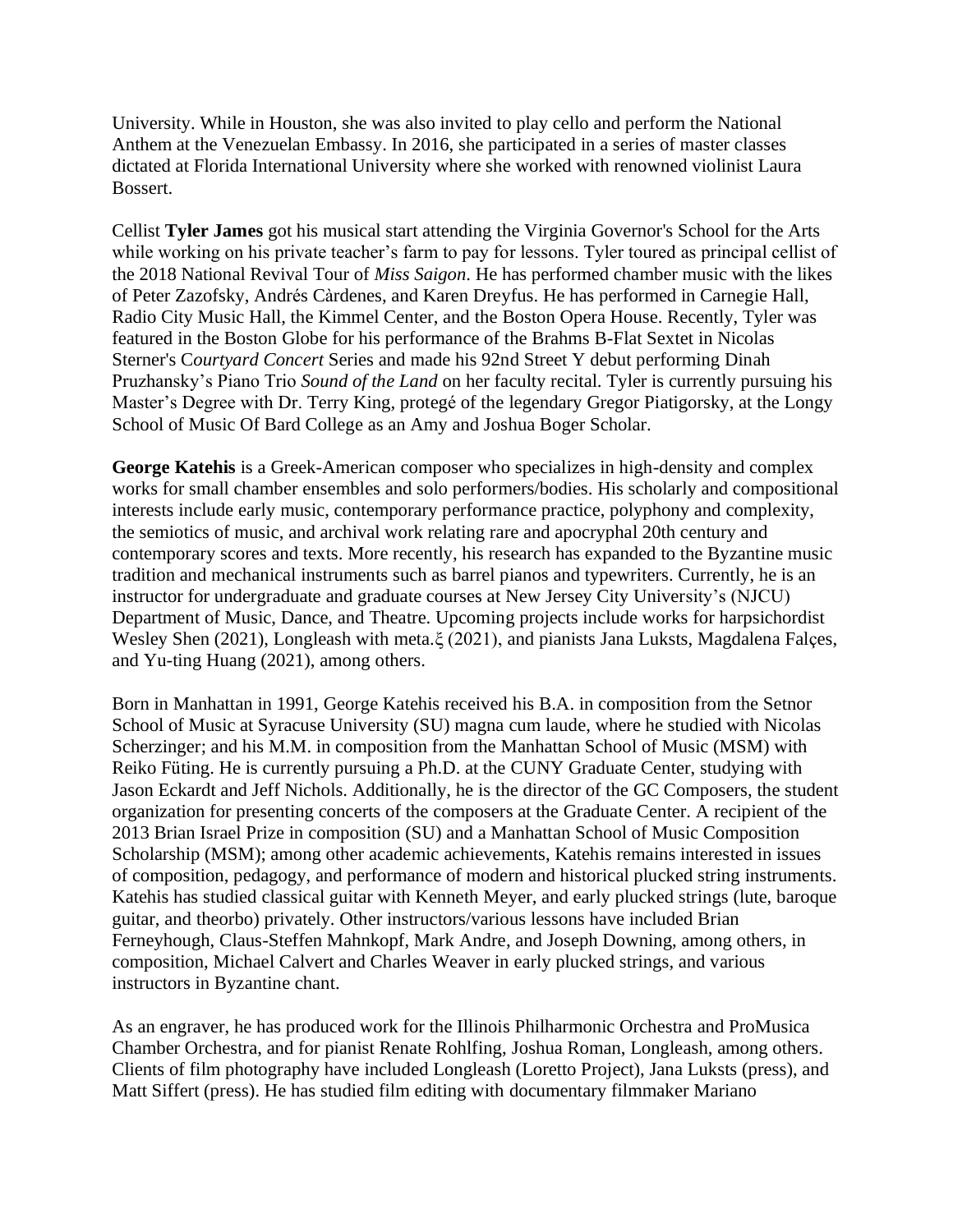University. While in Houston, she was also invited to play cello and perform the National Anthem at the Venezuelan Embassy. In 2016, she participated in a series of master classes dictated at Florida International University where she worked with renowned violinist Laura Bossert.

Cellist **Tyler James** got his musical start attending the Virginia Governor's School for the Arts while working on his private teacher's farm to pay for lessons. Tyler toured as principal cellist of the 2018 National Revival Tour of *Miss Saigon*. He has performed chamber music with the likes of Peter Zazofsky, Andrés Càrdenes, and Karen Dreyfus. He has performed in Carnegie Hall, Radio City Music Hall, the Kimmel Center, and the Boston Opera House. Recently, Tyler was featured in the Boston Globe for his performance of the Brahms B-Flat Sextet in Nicolas Sterner's C*ourtyard Concert* Series and made his 92nd Street Y debut performing Dinah Pruzhansky's Piano Trio *Sound of the Land* on her faculty recital. Tyler is currently pursuing his Master's Degree with Dr. Terry King, protegé of the legendary Gregor Piatigorsky, at the Longy School of Music Of Bard College as an Amy and Joshua Boger Scholar.

**George Katehis** is a Greek-American composer who specializes in high-density and complex works for small chamber ensembles and solo performers/bodies. His scholarly and compositional interests include early music, contemporary performance practice, polyphony and complexity, the semiotics of music, and archival work relating rare and apocryphal 20th century and contemporary scores and texts. More recently, his research has expanded to the Byzantine music tradition and mechanical instruments such as barrel pianos and typewriters. Currently, he is an instructor for undergraduate and graduate courses at New Jersey City University's (NJCU) Department of Music, Dance, and Theatre. Upcoming projects include works for harpsichordist Wesley Shen (2021), Longleash with meta.ξ (2021), and pianists Jana Luksts, Magdalena Falçes, and Yu-ting Huang (2021), among others.

Born in Manhattan in 1991, George Katehis received his B.A. in composition from the Setnor School of Music at Syracuse University (SU) magna cum laude, where he studied with Nicolas Scherzinger; and his M.M. in composition from the Manhattan School of Music (MSM) with Reiko Füting. He is currently pursuing a Ph.D. at the CUNY Graduate Center, studying with Jason Eckardt and Jeff Nichols. Additionally, he is the director of the GC Composers, the student organization for presenting concerts of the composers at the Graduate Center. A recipient of the 2013 Brian Israel Prize in composition (SU) and a Manhattan School of Music Composition Scholarship (MSM); among other academic achievements, Katehis remains interested in issues of composition, pedagogy, and performance of modern and historical plucked string instruments. Katehis has studied classical guitar with Kenneth Meyer, and early plucked strings (lute, baroque guitar, and theorbo) privately. Other instructors/various lessons have included Brian Ferneyhough, Claus-Steffen Mahnkopf, Mark Andre, and Joseph Downing, among others, in composition, Michael Calvert and Charles Weaver in early plucked strings, and various instructors in Byzantine chant.

As an engraver, he has produced work for the Illinois Philharmonic Orchestra and ProMusica Chamber Orchestra, and for pianist Renate Rohlfing, Joshua Roman, Longleash, among others. Clients of film photography have included Longleash (Loretto Project), Jana Luksts (press), and Matt Siffert (press). He has studied film editing with documentary filmmaker Mariano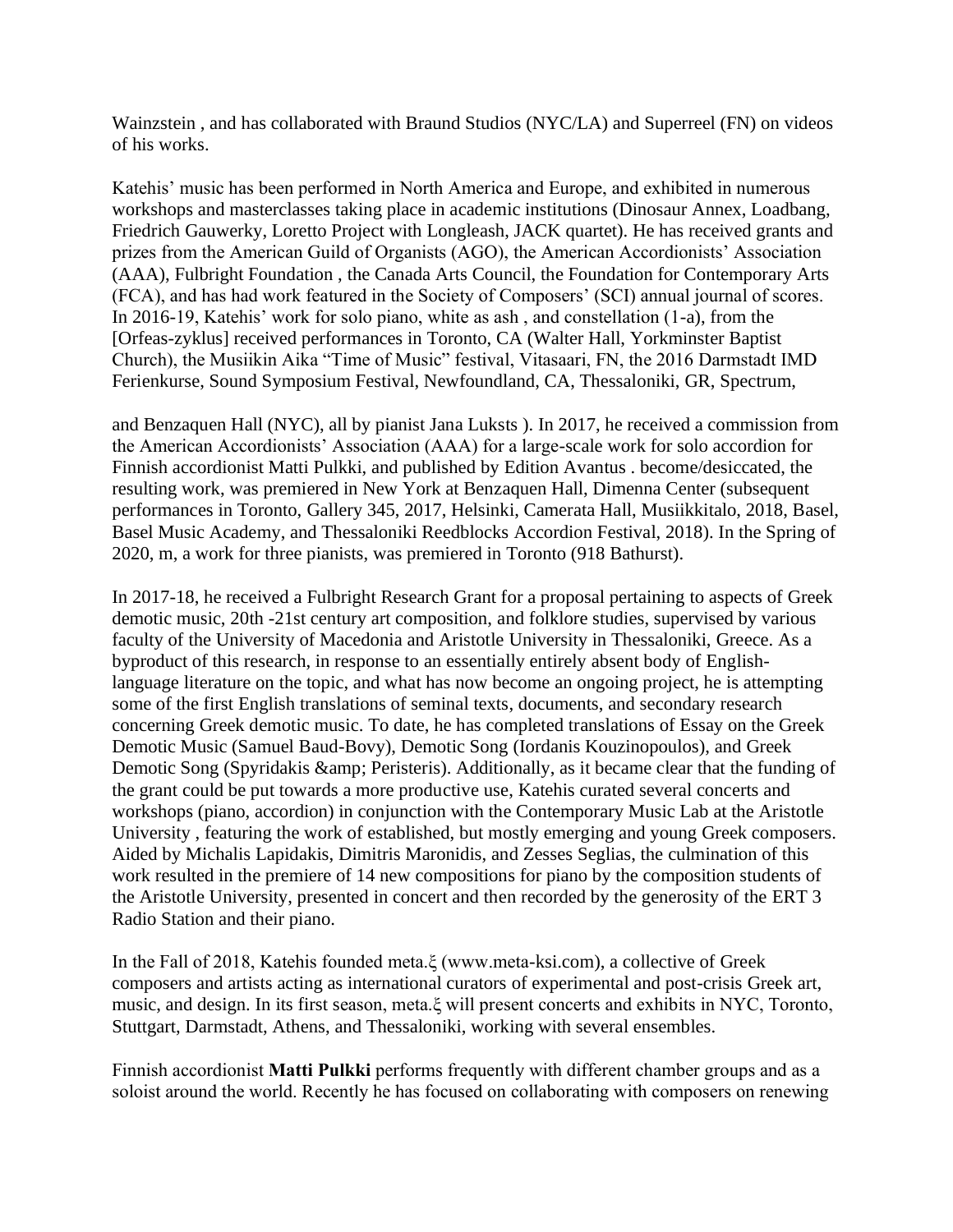Wainzstein , and has collaborated with Braund Studios (NYC/LA) and Superreel (FN) on videos of his works.

Katehis' music has been performed in North America and Europe, and exhibited in numerous workshops and masterclasses taking place in academic institutions (Dinosaur Annex, Loadbang, Friedrich Gauwerky, Loretto Project with Longleash, JACK quartet). He has received grants and prizes from the American Guild of Organists (AGO), the American Accordionists' Association (AAA), Fulbright Foundation , the Canada Arts Council, the Foundation for Contemporary Arts (FCA), and has had work featured in the Society of Composers' (SCI) annual journal of scores. In 2016-19, Katehis' work for solo piano, white as ash , and constellation (1-a), from the [Orfeas-zyklus] received performances in Toronto, CA (Walter Hall, Yorkminster Baptist Church), the Musiikin Aika "Time of Music" festival, Vitasaari, FN, the 2016 Darmstadt IMD Ferienkurse, Sound Symposium Festival, Newfoundland, CA, Thessaloniki, GR, Spectrum,

and Benzaquen Hall (NYC), all by pianist Jana Luksts ). In 2017, he received a commission from the American Accordionists' Association (AAA) for a large-scale work for solo accordion for Finnish accordionist Matti Pulkki, and published by Edition Avantus . become/desiccated, the resulting work, was premiered in New York at Benzaquen Hall, Dimenna Center (subsequent performances in Toronto, Gallery 345, 2017, Helsinki, Camerata Hall, Musiikkitalo, 2018, Basel, Basel Music Academy, and Thessaloniki Reedblocks Accordion Festival, 2018). In the Spring of 2020, m, a work for three pianists, was premiered in Toronto (918 Bathurst).

In 2017-18, he received a Fulbright Research Grant for a proposal pertaining to aspects of Greek demotic music, 20th -21st century art composition, and folklore studies, supervised by various faculty of the University of Macedonia and Aristotle University in Thessaloniki, Greece. As a byproduct of this research, in response to an essentially entirely absent body of Englishlanguage literature on the topic, and what has now become an ongoing project, he is attempting some of the first English translations of seminal texts, documents, and secondary research concerning Greek demotic music. To date, he has completed translations of Essay on the Greek Demotic Music (Samuel Baud-Bovy), Demotic Song (Iordanis Kouzinopoulos), and Greek Demotic Song (Spyridakis & amp; Peristeris). Additionally, as it became clear that the funding of the grant could be put towards a more productive use, Katehis curated several concerts and workshops (piano, accordion) in conjunction with the Contemporary Music Lab at the Aristotle University , featuring the work of established, but mostly emerging and young Greek composers. Aided by Michalis Lapidakis, Dimitris Maronidis, and Zesses Seglias, the culmination of this work resulted in the premiere of 14 new compositions for piano by the composition students of the Aristotle University, presented in concert and then recorded by the generosity of the ERT 3 Radio Station and their piano.

In the Fall of 2018, Katehis founded meta.ξ (www.meta-ksi.com), a collective of Greek composers and artists acting as international curators of experimental and post-crisis Greek art, music, and design. In its first season, meta.ξ will present concerts and exhibits in NYC, Toronto, Stuttgart, Darmstadt, Athens, and Thessaloniki, working with several ensembles.

Finnish accordionist **Matti Pulkki** performs frequently with different chamber groups and as a soloist around the world. Recently he has focused on collaborating with composers on renewing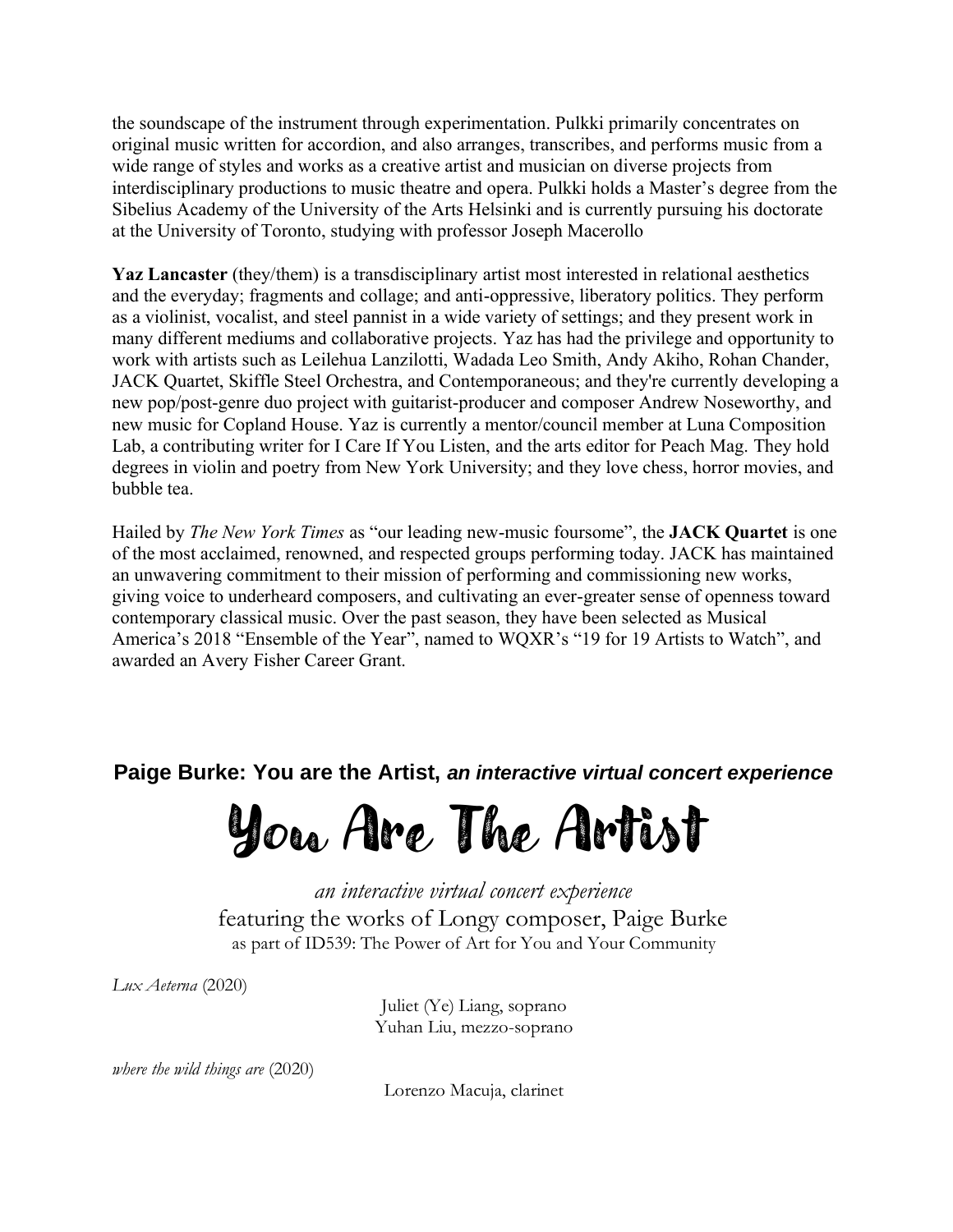the soundscape of the instrument through experimentation. Pulkki primarily concentrates on original music written for accordion, and also arranges, transcribes, and performs music from a wide range of styles and works as a creative artist and musician on diverse projects from interdisciplinary productions to music theatre and opera. Pulkki holds a Master's degree from the Sibelius Academy of the University of the Arts Helsinki and is currently pursuing his doctorate at the University of Toronto, studying with professor Joseph Macerollo

**Yaz Lancaster** (they/them) is a transdisciplinary artist most interested in relational aesthetics and the everyday; fragments and collage; and anti-oppressive, liberatory politics. They perform as a violinist, vocalist, and steel pannist in a wide variety of settings; and they present work in many different mediums and collaborative projects. Yaz has had the privilege and opportunity to work with artists such as Leilehua Lanzilotti, Wadada Leo Smith, Andy Akiho, Rohan Chander, JACK Quartet, Skiffle Steel Orchestra, and Contemporaneous; and they're currently developing a new pop/post-genre duo project with guitarist-producer and composer Andrew Noseworthy, and new music for Copland House. Yaz is currently a mentor/council member at Luna Composition Lab, a contributing writer for I Care If You Listen, and the arts editor for Peach Mag. They hold degrees in violin and poetry from New York University; and they love chess, horror movies, and bubble tea.

Hailed by *The New York Times* as "our leading new-music foursome", the **JACK Quartet** is one of the most acclaimed, renowned, and respected groups performing today. JACK has maintained an unwavering commitment to their mission of performing and commissioning new works, giving voice to underheard composers, and cultivating an ever-greater sense of openness toward contemporary classical music. Over the past season, they have been selected as Musical America's 2018 "Ensemble of the Year", named to WQXR's "19 for 19 Artists to Watch", and awarded an Avery Fisher Career Grant.

**Paige Burke: You are the Artist,** *an interactive virtual concert experience*

You Are The Artist

*an interactive virtual concert experience* featuring the works of Longy composer, Paige Burke as part of ID539: The Power of Art for You and Your Community

*Lux Aeterna* (2020)

Juliet (Ye) Liang, soprano Yuhan Liu, mezzo-soprano

*where the wild things are* (2020)

Lorenzo Macuja, clarinet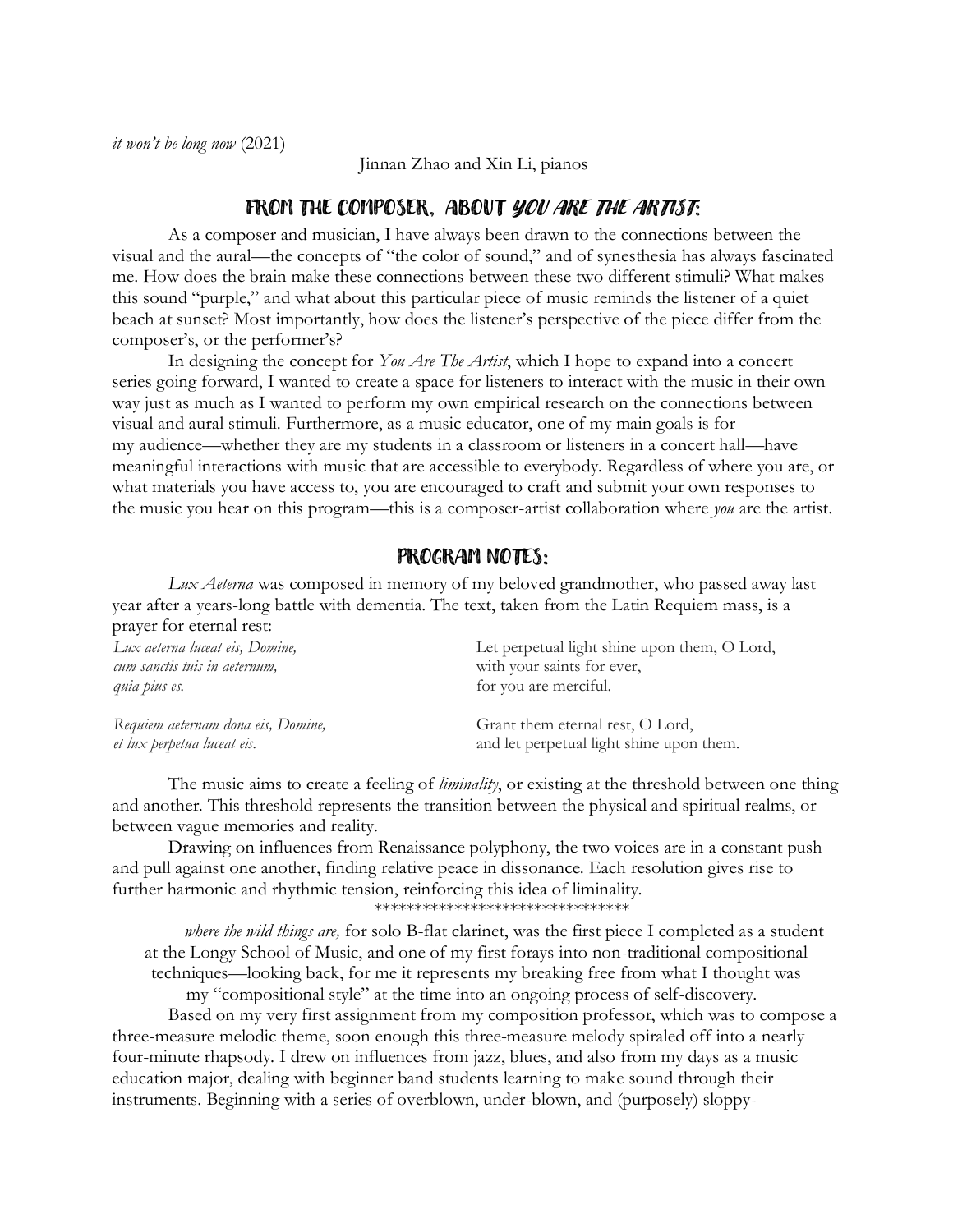Jinnan Zhao and Xin Li, pianos

## FROM THE COMPOSER, ABOUT YOU ARE THE ARTIST:

As a composer and musician, I have always been drawn to the connections between the visual and the aural—the concepts of "the color of sound," and of synesthesia has always fascinated me. How does the brain make these connections between these two different stimuli? What makes this sound "purple," and what about this particular piece of music reminds the listener of a quiet beach at sunset? Most importantly, how does the listener's perspective of the piece differ from the composer's, or the performer's?

In designing the concept for *You Are The Artist*, which I hope to expand into a concert series going forward, I wanted to create a space for listeners to interact with the music in their own way just as much as I wanted to perform my own empirical research on the connections between visual and aural stimuli. Furthermore, as a music educator, one of my main goals is for my audience—whether they are my students in a classroom or listeners in a concert hall—have meaningful interactions with music that are accessible to everybody. Regardless of where you are, or what materials you have access to, you are encouraged to craft and submit your own responses to the music you hear on this program—this is a composer-artist collaboration where *you* are the artist.

## PROGRAM NOTES:

*Lux Aeterna* was composed in memory of my beloved grandmother, who passed away last year after a years-long battle with dementia. The text, taken from the Latin Requiem mass, is a prayer for eternal rest:

| Lux aeterna luceat eis, Domine,    | Let perpetual light shine upon them, O Lord, |
|------------------------------------|----------------------------------------------|
| cum sanctis tuis in aeternum,      | with your saints for ever,                   |
| quia pius es.                      | for you are merciful.                        |
| Requiem aeternam dona eis, Domine, | Grant them eternal rest, O Lord,             |
| et lux perpetua luceat eis.        | and let perpetual light shine upon them.     |

The music aims to create a feeling of *liminality*, or existing at the threshold between one thing and another. This threshold represents the transition between the physical and spiritual realms, or between vague memories and reality.

Drawing on influences from Renaissance polyphony, the two voices are in a constant push and pull against one another, finding relative peace in dissonance. Each resolution gives rise to further harmonic and rhythmic tension, reinforcing this idea of liminality.

\*\*\*\*\*\*\*\*\*\*\*\*\*\*\*\*\*\*\*\*\*\*\*\*\*\*\*\*\*\*\*\*

*where the wild things are,* for solo B-flat clarinet, was the first piece I completed as a student at the Longy School of Music, and one of my first forays into non-traditional compositional techniques—looking back, for me it represents my breaking free from what I thought was my "compositional style" at the time into an ongoing process of self-discovery.

Based on my very first assignment from my composition professor, which was to compose a three-measure melodic theme, soon enough this three-measure melody spiraled off into a nearly four-minute rhapsody. I drew on influences from jazz, blues, and also from my days as a music education major, dealing with beginner band students learning to make sound through their instruments. Beginning with a series of overblown, under-blown, and (purposely) sloppy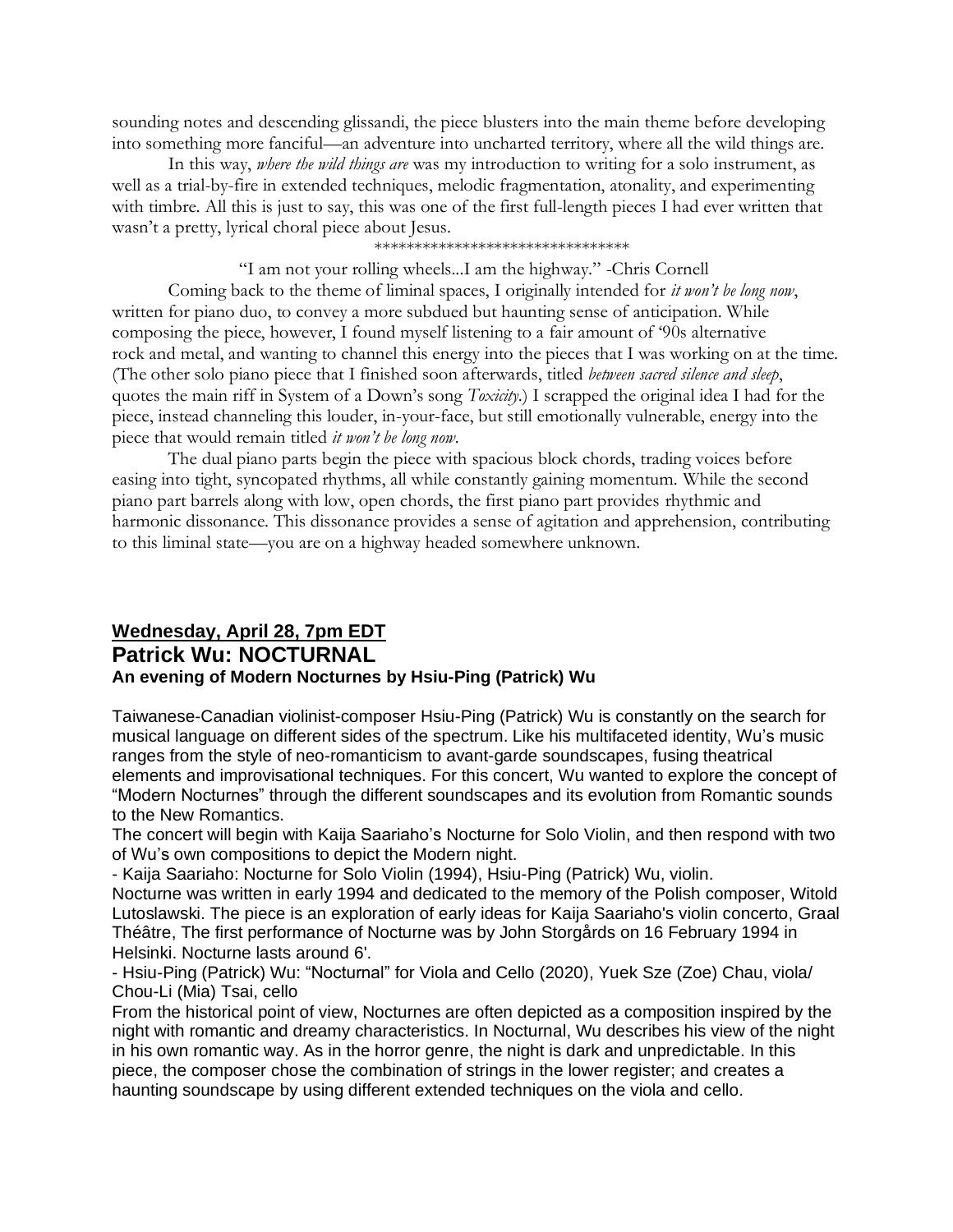sounding notes and descending glissandi, the piece blusters into the main theme before developing into something more fanciful—an adventure into uncharted territory, where all the wild things are.

In this way, *where the wild things are* was my introduction to writing for a solo instrument, as well as a trial-by-fire in extended techniques, melodic fragmentation, atonality, and experimenting with timbre. All this is just to say, this was one of the first full-length pieces I had ever written that wasn't a pretty, lyrical choral piece about Jesus.

#### \*\*\*\*\*\*\*\*\*\*\*\*\*\*\*\*\*\*\*\*\*\*\*\*\*\*\*\*\*\*\*\*

"I am not your rolling wheels...I am the highway." -Chris Cornell

Coming back to the theme of liminal spaces, I originally intended for *it won't be long now*, written for piano duo, to convey a more subdued but haunting sense of anticipation. While composing the piece, however, I found myself listening to a fair amount of '90s alternative rock and metal, and wanting to channel this energy into the pieces that I was working on at the time. (The other solo piano piece that I finished soon afterwards, titled *between sacred silence and sleep*, quotes the main riff in System of a Down's song *Toxicity*.) I scrapped the original idea I had for the piece, instead channeling this louder, in-your-face, but still emotionally vulnerable, energy into the piece that would remain titled *it won't be long now*.

The dual piano parts begin the piece with spacious block chords, trading voices before easing into tight, syncopated rhythms, all while constantly gaining momentum. While the second piano part barrels along with low, open chords, the first piano part provides rhythmic and harmonic dissonance. This dissonance provides a sense of agitation and apprehension, contributing to this liminal state—you are on a highway headed somewhere unknown.

## **Wednesday, April 28, 7pm EDT Patrick Wu: NOCTURNAL An evening of Modern Nocturnes by Hsiu-Ping (Patrick) Wu**

Taiwanese-Canadian violinist-composer Hsiu-Ping (Patrick) Wu is constantly on the search for musical language on different sides of the spectrum. Like his multifaceted identity, Wu's music ranges from the style of neo-romanticism to avant-garde soundscapes, fusing theatrical elements and improvisational techniques. For this concert, Wu wanted to explore the concept of "Modern Nocturnes" through the different soundscapes and its evolution from Romantic sounds to the New Romantics.

The concert will begin with Kaija Saariaho's Nocturne for Solo Violin, and then respond with two of Wu's own compositions to depict the Modern night.

- Kaija Saariaho: Nocturne for Solo Violin (1994), Hsiu-Ping (Patrick) Wu, violin.

Nocturne was written in early 1994 and dedicated to the memory of the Polish composer, Witold Lutoslawski. The piece is an exploration of early ideas for Kaija Saariaho's violin concerto, Graal Théâtre, The first performance of Nocturne was by John Storgårds on 16 February 1994 in Helsinki. Nocturne lasts around 6'.

- Hsiu-Ping (Patrick) Wu: "Nocturnal" for Viola and Cello (2020), Yuek Sze (Zoe) Chau, viola/ Chou-Li (Mia) Tsai, cello

From the historical point of view, Nocturnes are often depicted as a composition inspired by the night with romantic and dreamy characteristics. In Nocturnal, Wu describes his view of the night in his own romantic way. As in the horror genre, the night is dark and unpredictable. In this piece, the composer chose the combination of strings in the lower register; and creates a haunting soundscape by using different extended techniques on the viola and cello.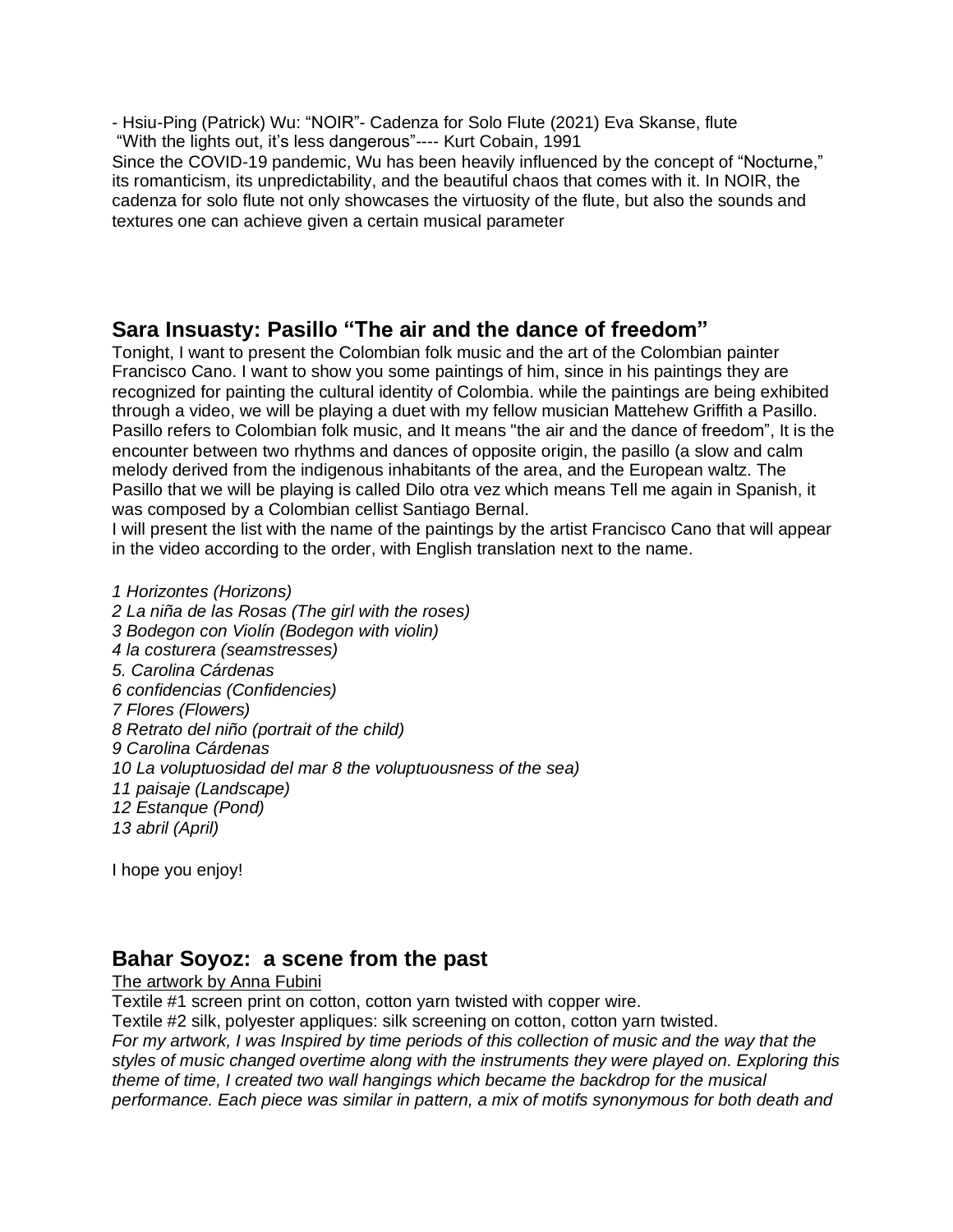- Hsiu-Ping (Patrick) Wu: "NOIR"- Cadenza for Solo Flute (2021) Eva Skanse, flute "With the lights out, it's less dangerous"---- Kurt Cobain, 1991

Since the COVID-19 pandemic, Wu has been heavily influenced by the concept of "Nocturne," its romanticism, its unpredictability, and the beautiful chaos that comes with it. In NOIR, the cadenza for solo flute not only showcases the virtuosity of the flute, but also the sounds and textures one can achieve given a certain musical parameter

# **Sara Insuasty: Pasillo "The air and the dance of freedom"**

Tonight, I want to present the Colombian folk music and the art of the Colombian painter Francisco Cano. I want to show you some paintings of him, since in his paintings they are recognized for painting the cultural identity of Colombia. while the paintings are being exhibited through a video, we will be playing a duet with my fellow musician Mattehew Griffith a Pasillo. Pasillo refers to Colombian folk music, and It means "the air and the dance of freedom", It is the encounter between two rhythms and dances of opposite origin, the pasillo (a slow and calm melody derived from the indigenous inhabitants of the area, and the European waltz. The Pasillo that we will be playing is called Dilo otra vez which means Tell me again in Spanish, it was composed by a Colombian cellist Santiago Bernal.

I will present the list with the name of the paintings by the artist Francisco Cano that will appear in the video according to the order, with English translation next to the name.

 *Horizontes (Horizons) La niña de las Rosas (The girl with the roses) Bodegon con Violín (Bodegon with violin) la costurera (seamstresses) 5. Carolina Cárdenas confidencias (Confidencies) Flores (Flowers) Retrato del niño (portrait of the child) Carolina Cárdenas La voluptuosidad del mar 8 the voluptuousness of the sea) paisaje (Landscape) Estanque (Pond) abril (April)*

I hope you enjoy!

# **Bahar Soyoz: a scene from the past**

### The artwork by Anna Fubini

Textile #1 screen print on cotton, cotton yarn twisted with copper wire.

Textile #2 silk, polyester appliques: silk screening on cotton, cotton yarn twisted.

For my artwork, I was Inspired by time periods of this collection of music and the way that the *styles of music changed overtime along with the instruments they were played on. Exploring this theme of time, I created two wall hangings which became the backdrop for the musical performance. Each piece was similar in pattern, a mix of motifs synonymous for both death and*